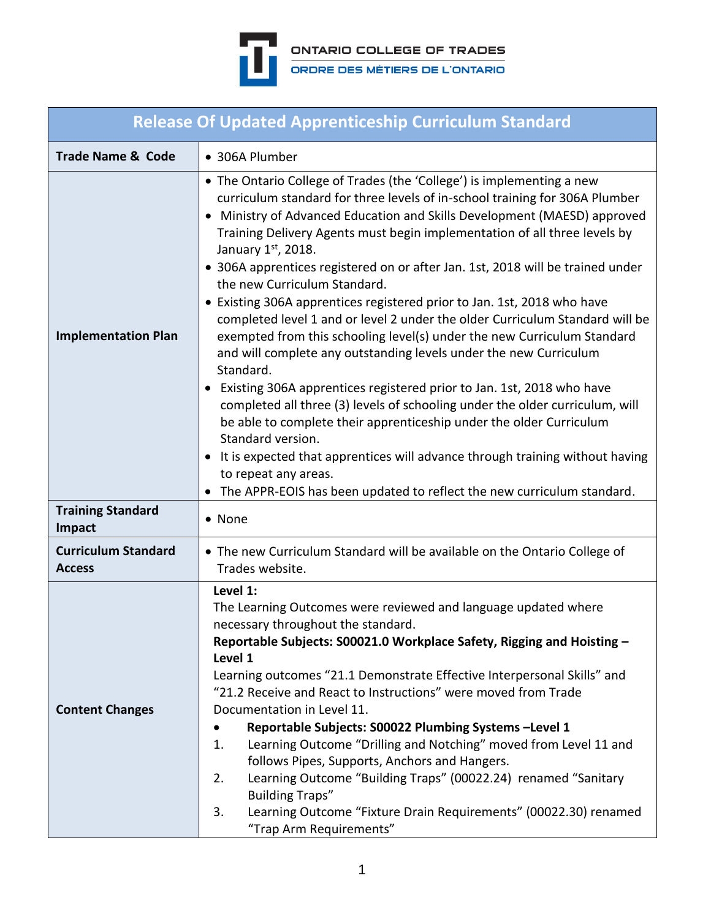

| <b>Release Of Updated Apprenticeship Curriculum Standard</b> |                                                                                                                                                                                                                                                                                                                                                                                                                                                                                                                                                                                                                                                                                                                                                                                                                                                                                                                                                                                                                                                                                                                                                                                                                                                |  |  |  |  |  |  |
|--------------------------------------------------------------|------------------------------------------------------------------------------------------------------------------------------------------------------------------------------------------------------------------------------------------------------------------------------------------------------------------------------------------------------------------------------------------------------------------------------------------------------------------------------------------------------------------------------------------------------------------------------------------------------------------------------------------------------------------------------------------------------------------------------------------------------------------------------------------------------------------------------------------------------------------------------------------------------------------------------------------------------------------------------------------------------------------------------------------------------------------------------------------------------------------------------------------------------------------------------------------------------------------------------------------------|--|--|--|--|--|--|
| <b>Trade Name &amp; Code</b>                                 | • 306A Plumber                                                                                                                                                                                                                                                                                                                                                                                                                                                                                                                                                                                                                                                                                                                                                                                                                                                                                                                                                                                                                                                                                                                                                                                                                                 |  |  |  |  |  |  |
| <b>Implementation Plan</b>                                   | • The Ontario College of Trades (the 'College') is implementing a new<br>curriculum standard for three levels of in-school training for 306A Plumber<br>Ministry of Advanced Education and Skills Development (MAESD) approved<br>Training Delivery Agents must begin implementation of all three levels by<br>January 1st, 2018.<br>• 306A apprentices registered on or after Jan. 1st, 2018 will be trained under<br>the new Curriculum Standard.<br>• Existing 306A apprentices registered prior to Jan. 1st, 2018 who have<br>completed level 1 and or level 2 under the older Curriculum Standard will be<br>exempted from this schooling level(s) under the new Curriculum Standard<br>and will complete any outstanding levels under the new Curriculum<br>Standard.<br>• Existing 306A apprentices registered prior to Jan. 1st, 2018 who have<br>completed all three (3) levels of schooling under the older curriculum, will<br>be able to complete their apprenticeship under the older Curriculum<br>Standard version.<br>It is expected that apprentices will advance through training without having<br>$\bullet$<br>to repeat any areas.<br>The APPR-EOIS has been updated to reflect the new curriculum standard.<br>$\bullet$ |  |  |  |  |  |  |
| <b>Training Standard</b><br>Impact                           | • None                                                                                                                                                                                                                                                                                                                                                                                                                                                                                                                                                                                                                                                                                                                                                                                                                                                                                                                                                                                                                                                                                                                                                                                                                                         |  |  |  |  |  |  |
| <b>Curriculum Standard</b><br><b>Access</b>                  | • The new Curriculum Standard will be available on the Ontario College of<br>Trades website.                                                                                                                                                                                                                                                                                                                                                                                                                                                                                                                                                                                                                                                                                                                                                                                                                                                                                                                                                                                                                                                                                                                                                   |  |  |  |  |  |  |
| <b>Content Changes</b>                                       | Level 1:<br>The Learning Outcomes were reviewed and language updated where<br>necessary throughout the standard.<br>Reportable Subjects: S00021.0 Workplace Safety, Rigging and Hoisting -<br>Level 1<br>Learning outcomes "21.1 Demonstrate Effective Interpersonal Skills" and<br>"21.2 Receive and React to Instructions" were moved from Trade<br>Documentation in Level 11.<br>Reportable Subjects: S00022 Plumbing Systems-Level 1<br>Learning Outcome "Drilling and Notching" moved from Level 11 and<br>1.<br>follows Pipes, Supports, Anchors and Hangers.<br>Learning Outcome "Building Traps" (00022.24) renamed "Sanitary<br>2.<br><b>Building Traps"</b><br>Learning Outcome "Fixture Drain Requirements" (00022.30) renamed<br>3.<br>"Trap Arm Requirements"                                                                                                                                                                                                                                                                                                                                                                                                                                                                     |  |  |  |  |  |  |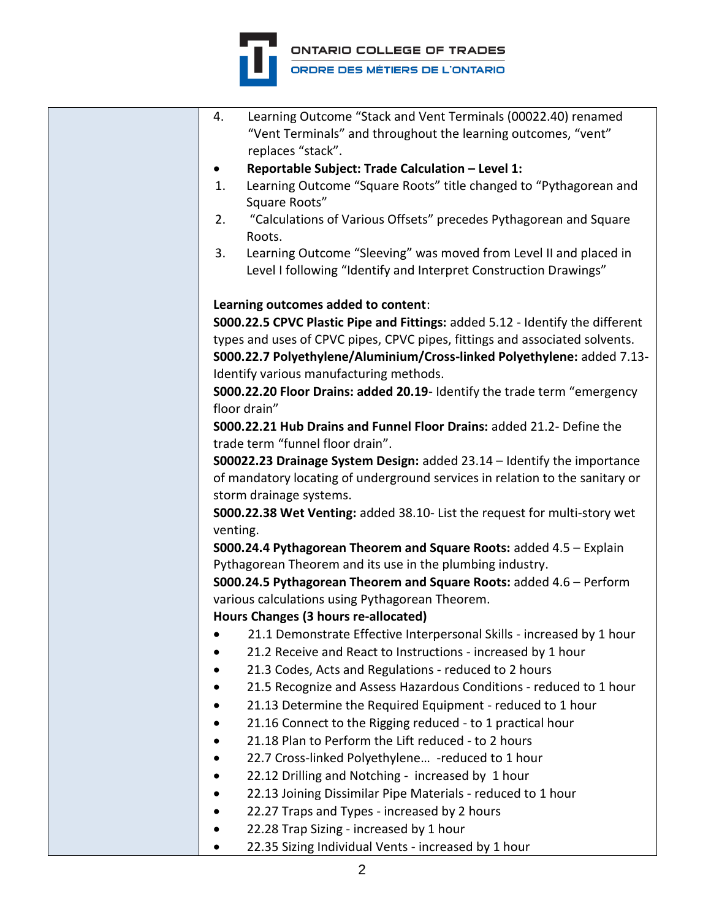

| 4. | Learning Outcome "Stack and Vent Terminals (00022.40) renamed                 |
|----|-------------------------------------------------------------------------------|
|    | "Vent Terminals" and throughout the learning outcomes, "vent"                 |
|    | replaces "stack".                                                             |
|    | Reportable Subject: Trade Calculation - Level 1:                              |
| 1. | Learning Outcome "Square Roots" title changed to "Pythagorean and             |
|    | Square Roots"                                                                 |
| 2. | "Calculations of Various Offsets" precedes Pythagorean and Square             |
|    | Roots.                                                                        |
| 3. | Learning Outcome "Sleeving" was moved from Level II and placed in             |
|    | Level I following "Identify and Interpret Construction Drawings"              |
|    | Learning outcomes added to content:                                           |
|    | S000.22.5 CPVC Plastic Pipe and Fittings: added 5.12 - Identify the different |
|    | types and uses of CPVC pipes, CPVC pipes, fittings and associated solvents.   |
|    | S000.22.7 Polyethylene/Aluminium/Cross-linked Polyethylene: added 7.13-       |
|    | Identify various manufacturing methods.                                       |
|    | S000.22.20 Floor Drains: added 20.19- Identify the trade term "emergency      |
|    | floor drain"                                                                  |
|    | S000.22.21 Hub Drains and Funnel Floor Drains: added 21.2- Define the         |
|    | trade term "funnel floor drain".                                              |
|    | S00022.23 Drainage System Design: added 23.14 - Identify the importance       |
|    | of mandatory locating of underground services in relation to the sanitary or  |
|    | storm drainage systems.                                                       |
|    | S000.22.38 Wet Venting: added 38.10- List the request for multi-story wet     |
|    | venting.                                                                      |
|    | S000.24.4 Pythagorean Theorem and Square Roots: added 4.5 - Explain           |
|    | Pythagorean Theorem and its use in the plumbing industry.                     |
|    | S000.24.5 Pythagorean Theorem and Square Roots: added 4.6 - Perform           |
|    | various calculations using Pythagorean Theorem.                               |
|    | Hours Changes (3 hours re-allocated)                                          |
|    | 21.1 Demonstrate Effective Interpersonal Skills - increased by 1 hour         |
|    | 21.2 Receive and React to Instructions - increased by 1 hour                  |
|    | 21.3 Codes, Acts and Regulations - reduced to 2 hours                         |
|    | 21.5 Recognize and Assess Hazardous Conditions - reduced to 1 hour            |
|    | 21.13 Determine the Required Equipment - reduced to 1 hour                    |
|    | 21.16 Connect to the Rigging reduced - to 1 practical hour                    |
|    | 21.18 Plan to Perform the Lift reduced - to 2 hours                           |
|    | 22.7 Cross-linked Polyethylene -reduced to 1 hour                             |
|    | 22.12 Drilling and Notching - increased by 1 hour                             |
|    | 22.13 Joining Dissimilar Pipe Materials - reduced to 1 hour                   |
|    | 22.27 Traps and Types - increased by 2 hours                                  |
|    | 22.28 Trap Sizing - increased by 1 hour                                       |
|    | 22.35 Sizing Individual Vents - increased by 1 hour                           |
|    |                                                                               |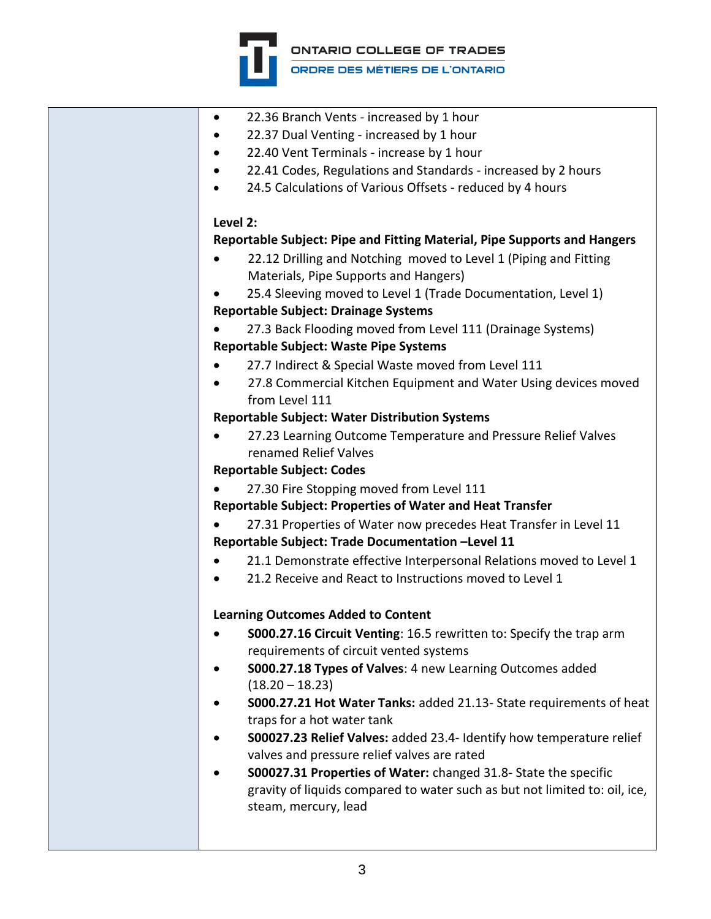

| $\bullet$ | 22.36 Branch Vents - increased by 1 hour                                    |
|-----------|-----------------------------------------------------------------------------|
|           | 22.37 Dual Venting - increased by 1 hour                                    |
|           | 22.40 Vent Terminals - increase by 1 hour                                   |
|           | 22.41 Codes, Regulations and Standards - increased by 2 hours               |
|           | 24.5 Calculations of Various Offsets - reduced by 4 hours                   |
|           |                                                                             |
|           | Level 2:                                                                    |
|           | Reportable Subject: Pipe and Fitting Material, Pipe Supports and Hangers    |
|           | 22.12 Drilling and Notching moved to Level 1 (Piping and Fitting            |
|           | Materials, Pipe Supports and Hangers)                                       |
|           | 25.4 Sleeving moved to Level 1 (Trade Documentation, Level 1)               |
|           | <b>Reportable Subject: Drainage Systems</b>                                 |
|           | 27.3 Back Flooding moved from Level 111 (Drainage Systems)                  |
|           | <b>Reportable Subject: Waste Pipe Systems</b>                               |
|           | 27.7 Indirect & Special Waste moved from Level 111                          |
|           | 27.8 Commercial Kitchen Equipment and Water Using devices moved             |
|           | from Level 111                                                              |
|           |                                                                             |
|           | <b>Reportable Subject: Water Distribution Systems</b>                       |
|           | 27.23 Learning Outcome Temperature and Pressure Relief Valves               |
|           | renamed Relief Valves                                                       |
|           | <b>Reportable Subject: Codes</b>                                            |
|           | 27.30 Fire Stopping moved from Level 111                                    |
|           | <b>Reportable Subject: Properties of Water and Heat Transfer</b>            |
|           | 27.31 Properties of Water now precedes Heat Transfer in Level 11            |
|           | Reportable Subject: Trade Documentation -Level 11                           |
|           | 21.1 Demonstrate effective Interpersonal Relations moved to Level 1         |
|           | 21.2 Receive and React to Instructions moved to Level 1                     |
|           | <b>Learning Outcomes Added to Content</b>                                   |
|           | <b>S000.27.16 Circuit Venting: 16.5 rewritten to: Specify the trap arm</b>  |
|           | requirements of circuit vented systems                                      |
|           | S000.27.18 Types of Valves: 4 new Learning Outcomes added                   |
|           | $(18.20 - 18.23)$                                                           |
|           | S000.27.21 Hot Water Tanks: added 21.13- State requirements of heat         |
|           | traps for a hot water tank                                                  |
|           | <b>S00027.23 Relief Valves:</b> added 23.4- Identify how temperature relief |
|           | valves and pressure relief valves are rated                                 |
|           | S00027.31 Properties of Water: changed 31.8- State the specific             |
|           | gravity of liquids compared to water such as but not limited to: oil, ice,  |
|           | steam, mercury, lead                                                        |
|           |                                                                             |
|           |                                                                             |
|           |                                                                             |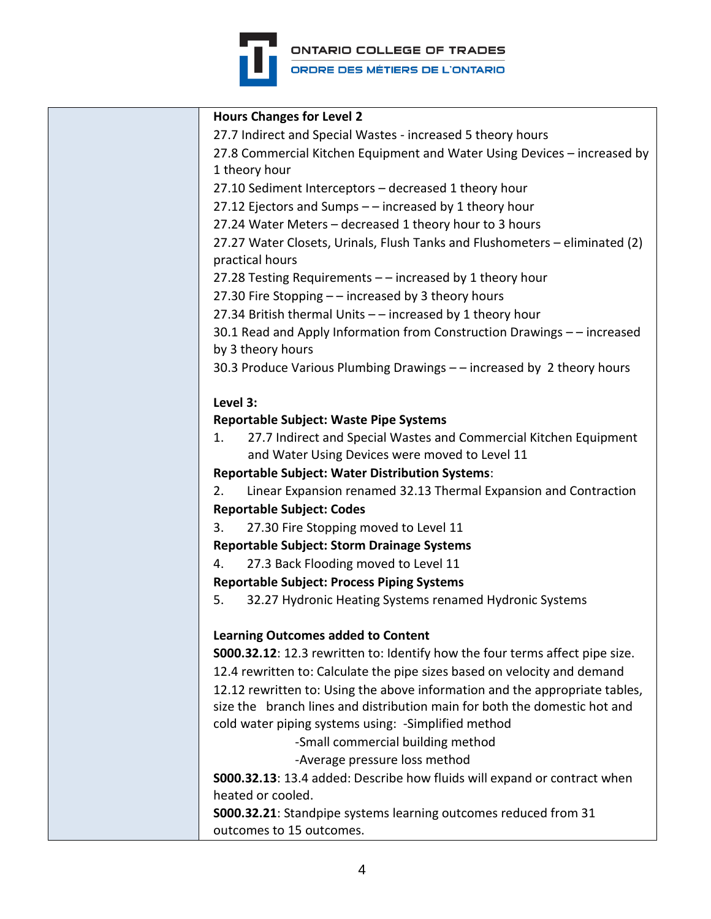

**ONTARIO COLLEGE OF TRADES** ORDRE DES MÉTIERS DE L'ONTARIO

**Hours Changes for Level 2** 27.7 Indirect and Special Wastes - increased 5 theory hours 27.8 Commercial Kitchen Equipment and Water Using Devices – increased by 1 theory hour 27.10 Sediment Interceptors – decreased 1 theory hour 27.12 Ejectors and Sumps – – increased by 1 theory hour 27.24 Water Meters – decreased 1 theory hour to 3 hours 27.27 Water Closets, Urinals, Flush Tanks and Flushometers – eliminated (2) practical hours 27.28 Testing Requirements – – increased by 1 theory hour 27.30 Fire Stopping – – increased by 3 theory hours 27.34 British thermal Units – – increased by 1 theory hour 30.1 Read and Apply Information from Construction Drawings – – increased by 3 theory hours 30.3 Produce Various Plumbing Drawings – – increased by 2 theory hours **Level 3: Reportable Subject: Waste Pipe Systems** 1. 27.7 Indirect and Special Wastes and Commercial Kitchen Equipment and Water Using Devices were moved to Level 11 **Reportable Subject: Water Distribution Systems**: 2. Linear Expansion renamed 32.13 Thermal Expansion and Contraction **Reportable Subject: Codes** 3. 27.30 Fire Stopping moved to Level 11 **Reportable Subject: Storm Drainage Systems** 4. 27.3 Back Flooding moved to Level 11 **Reportable Subject: Process Piping Systems** 5. 32.27 Hydronic Heating Systems renamed Hydronic Systems **Learning Outcomes added to Content S000.32.12**: 12.3 rewritten to: Identify how the four terms affect pipe size. 12.4 rewritten to: Calculate the pipe sizes based on velocity and demand 12.12 rewritten to: Using the above information and the appropriate tables, size the branch lines and distribution main for both the domestic hot and cold water piping systems using: -Simplified method -Small commercial building method -Average pressure loss method **S000.32.13**: 13.4 added: Describe how fluids will expand or contract when heated or cooled. **S000.32.21**: Standpipe systems learning outcomes reduced from 31 outcomes to 15 outcomes.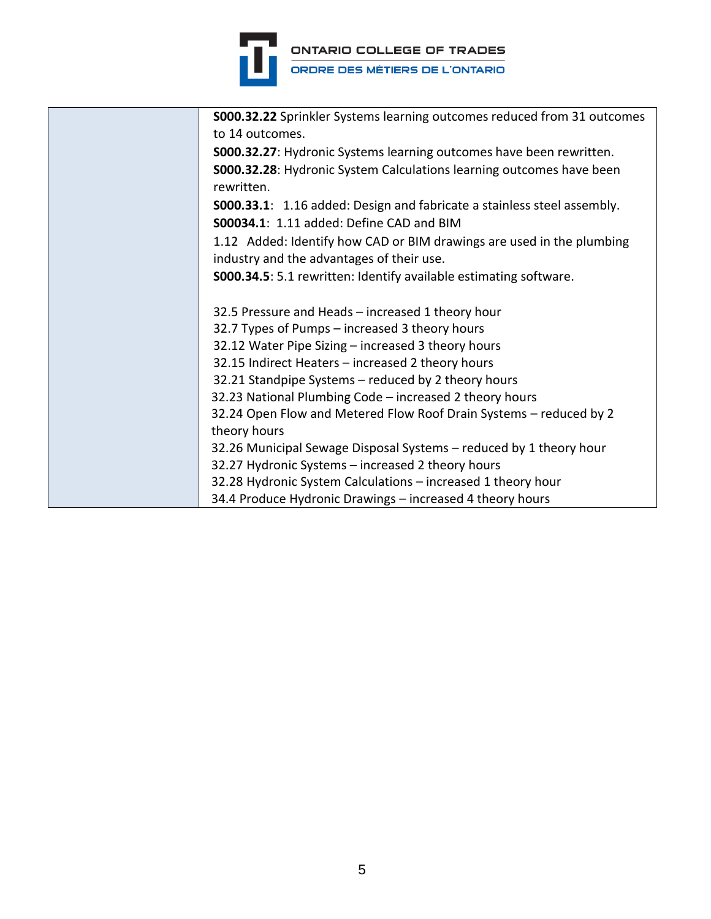

| <b>S000.32.22</b> Sprinkler Systems learning outcomes reduced from 31 outcomes<br>to 14 outcomes.                  |
|--------------------------------------------------------------------------------------------------------------------|
| <b>S000.32.27:</b> Hydronic Systems learning outcomes have been rewritten.                                         |
| S000.32.28: Hydronic System Calculations learning outcomes have been<br>rewritten.                                 |
| <b>S000.33.1</b> : 1.16 added: Design and fabricate a stainless steel assembly.                                    |
| S00034.1: 1.11 added: Define CAD and BIM                                                                           |
| 1.12 Added: Identify how CAD or BIM drawings are used in the plumbing<br>industry and the advantages of their use. |
| <b>S000.34.5:</b> 5.1 rewritten: Identify available estimating software.                                           |
|                                                                                                                    |
| 32.5 Pressure and Heads - increased 1 theory hour                                                                  |
| 32.7 Types of Pumps – increased 3 theory hours                                                                     |
| 32.12 Water Pipe Sizing - increased 3 theory hours                                                                 |
| 32.15 Indirect Heaters - increased 2 theory hours                                                                  |
| 32.21 Standpipe Systems - reduced by 2 theory hours                                                                |
| 32.23 National Plumbing Code - increased 2 theory hours                                                            |
| 32.24 Open Flow and Metered Flow Roof Drain Systems - reduced by 2                                                 |
| theory hours                                                                                                       |
| 32.26 Municipal Sewage Disposal Systems - reduced by 1 theory hour                                                 |
| 32.27 Hydronic Systems - increased 2 theory hours                                                                  |
| 32.28 Hydronic System Calculations - increased 1 theory hour                                                       |
| 34.4 Produce Hydronic Drawings - increased 4 theory hours                                                          |